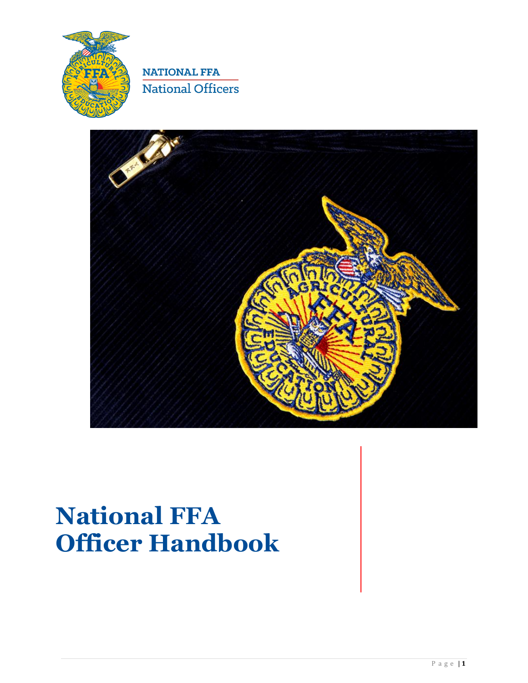



# **National FFA Officer Handbook**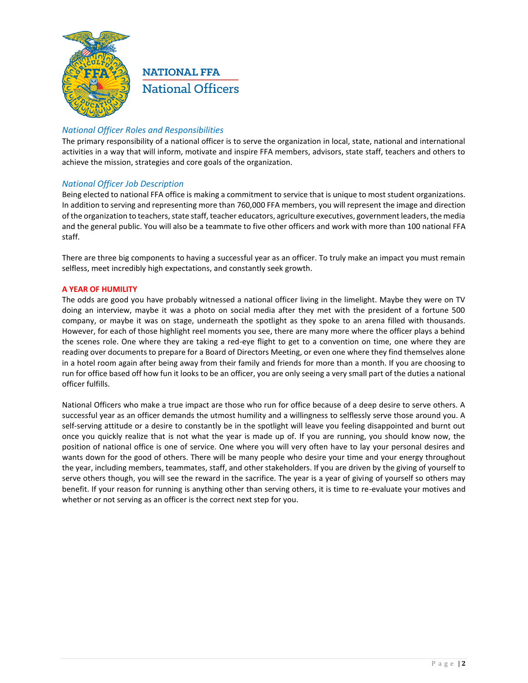

### *National Officer Roles and Responsibilities*

The primary responsibility of a national officer is to serve the organization in local, state, national and international activities in a way that will inform, motivate and inspire FFA members, advisors, state staff, teachers and others to achieve the mission, strategies and core goals of the organization.

### *National Officer Job Description*

Being elected to national FFA office is making a commitment to service that is unique to most student organizations. In addition to serving and representing more than 760,000 FFA members, you will represent the image and direction of the organization to teachers, state staff, teacher educators, agriculture executives, government leaders, the media and the general public. You will also be a teammate to five other officers and work with more than 100 national FFA staff.

There are three big components to having a successful year as an officer. To truly make an impact you must remain selfless, meet incredibly high expectations, and constantly seek growth.

### **A YEAR OF HUMILITY**

The odds are good you have probably witnessed a national officer living in the limelight. Maybe they were on TV doing an interview, maybe it was a photo on social media after they met with the president of a fortune 500 company, or maybe it was on stage, underneath the spotlight as they spoke to an arena filled with thousands. However, for each of those highlight reel moments you see, there are many more where the officer plays a behind the scenes role. One where they are taking a red-eye flight to get to a convention on time, one where they are reading over documents to prepare for a Board of Directors Meeting, or even one where they find themselves alone in a hotel room again after being away from their family and friends for more than a month. If you are choosing to run for office based off how fun it looks to be an officer, you are only seeing a very small part of the duties a national officer fulfills.

National Officers who make a true impact are those who run for office because of a deep desire to serve others. A successful year as an officer demands the utmost humility and a willingness to selflessly serve those around you. A self-serving attitude or a desire to constantly be in the spotlight will leave you feeling disappointed and burnt out once you quickly realize that is not what the year is made up of. If you are running, you should know now, the position of national office is one of service. One where you will very often have to lay your personal desires and wants down for the good of others. There will be many people who desire your time and your energy throughout the year, including members, teammates, staff, and other stakeholders. If you are driven by the giving of yourself to serve others though, you will see the reward in the sacrifice. The year is a year of giving of yourself so others may benefit. If your reason for running is anything other than serving others, it is time to re-evaluate your motives and whether or not serving as an officer is the correct next step for you.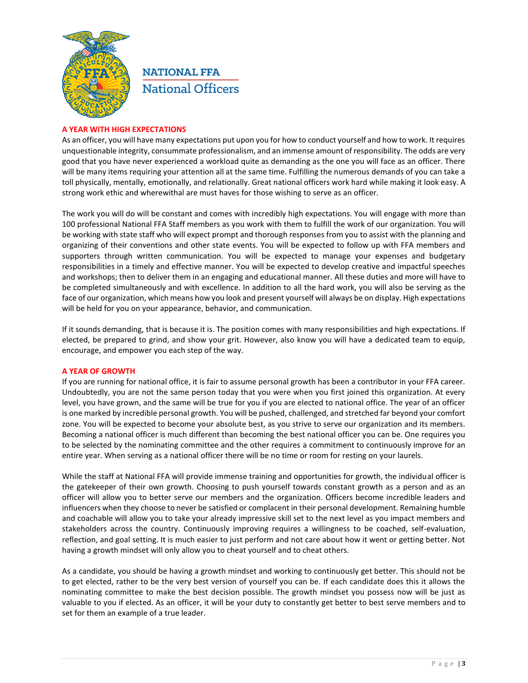

### **A YEAR WITH HIGH EXPECTATIONS**

As an officer, you will have many expectations put upon you for how to conduct yourself and how to work. It requires unquestionable integrity, consummate professionalism, and an immense amount of responsibility. The odds are very good that you have never experienced a workload quite as demanding as the one you will face as an officer. There will be many items requiring your attention all at the same time. Fulfilling the numerous demands of you can take a toll physically, mentally, emotionally, and relationally. Great national officers work hard while making it look easy. A strong work ethic and wherewithal are must haves for those wishing to serve as an officer.

The work you will do will be constant and comes with incredibly high expectations. You will engage with more than 100 professional National FFA Staff members as you work with them to fulfill the work of our organization. You will be working with state staff who will expect prompt and thorough responses from you to assist with the planning and organizing of their conventions and other state events. You will be expected to follow up with FFA members and supporters through written communication. You will be expected to manage your expenses and budgetary responsibilities in a timely and effective manner. You will be expected to develop creative and impactful speeches and workshops; then to deliver them in an engaging and educational manner. All these duties and more will have to be completed simultaneously and with excellence. In addition to all the hard work, you will also be serving as the face of our organization, which means how you look and present yourself will always be on display. High expectations will be held for you on your appearance, behavior, and communication.

If it sounds demanding, that is because it is. The position comes with many responsibilities and high expectations. If elected, be prepared to grind, and show your grit. However, also know you will have a dedicated team to equip, encourage, and empower you each step of the way.

### **A YEAR OF GROWTH**

If you are running for national office, it is fair to assume personal growth has been a contributor in your FFA career. Undoubtedly, you are not the same person today that you were when you first joined this organization. At every level, you have grown, and the same will be true for you if you are elected to national office. The year of an officer is one marked by incredible personal growth. You will be pushed, challenged, and stretched far beyond your comfort zone. You will be expected to become your absolute best, as you strive to serve our organization and its members. Becoming a national officer is much different than becoming the best national officer you can be. One requires you to be selected by the nominating committee and the other requires a commitment to continuously improve for an entire year. When serving as a national officer there will be no time or room for resting on your laurels.

While the staff at National FFA will provide immense training and opportunities for growth, the individual officer is the gatekeeper of their own growth. Choosing to push yourself towards constant growth as a person and as an officer will allow you to better serve our members and the organization. Officers become incredible leaders and influencers when they choose to never be satisfied or complacent in their personal development. Remaining humble and coachable will allow you to take your already impressive skill set to the next level as you impact members and stakeholders across the country. Continuously improving requires a willingness to be coached, self-evaluation, reflection, and goal setting. It is much easier to just perform and not care about how it went or getting better. Not having a growth mindset will only allow you to cheat yourself and to cheat others.

As a candidate, you should be having a growth mindset and working to continuously get better. This should not be to get elected, rather to be the very best version of yourself you can be. If each candidate does this it allows the nominating committee to make the best decision possible. The growth mindset you possess now will be just as valuable to you if elected. As an officer, it will be your duty to constantly get better to best serve members and to set for them an example of a true leader.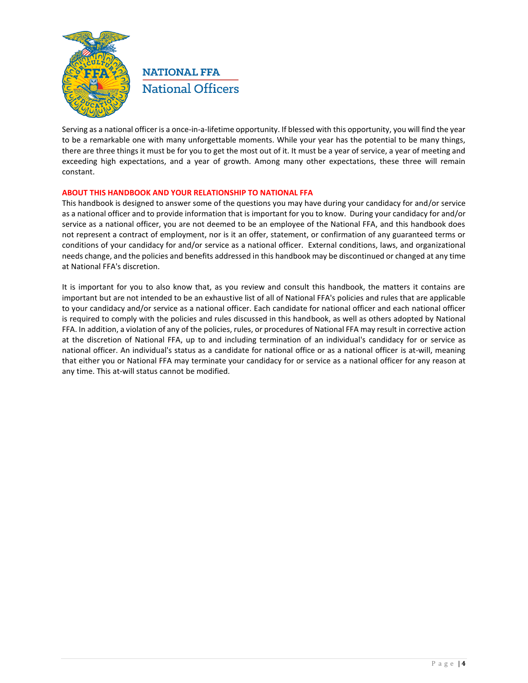

Serving as a national officer is a once-in-a-lifetime opportunity. If blessed with this opportunity, you will find the year to be a remarkable one with many unforgettable moments. While your year has the potential to be many things, there are three things it must be for you to get the most out of it. It must be a year of service, a year of meeting and exceeding high expectations, and a year of growth. Among many other expectations, these three will remain constant.

### **ABOUT THIS HANDBOOK AND YOUR RELATIONSHIP TO NATIONAL FFA**

This handbook is designed to answer some of the questions you may have during your candidacy for and/or service as a national officer and to provide information that is important for you to know. During your candidacy for and/or service as a national officer, you are not deemed to be an employee of the National FFA, and this handbook does not represent a contract of employment, nor is it an offer, statement, or confirmation of any guaranteed terms or conditions of your candidacy for and/or service as a national officer. External conditions, laws, and organizational needs change, and the policies and benefits addressed in this handbook may be discontinued or changed at any time at National FFA's discretion.

It is important for you to also know that, as you review and consult this handbook, the matters it contains are important but are not intended to be an exhaustive list of all of National FFA's policies and rules that are applicable to your candidacy and/or service as a national officer. Each candidate for national officer and each national officer is required to comply with the policies and rules discussed in this handbook, as well as others adopted by National FFA. In addition, a violation of any of the policies, rules, or procedures of National FFA may result in corrective action at the discretion of National FFA, up to and including termination of an individual's candidacy for or service as national officer. An individual's status as a candidate for national office or as a national officer is at-will, meaning that either you or National FFA may terminate your candidacy for or service as a national officer for any reason at any time. This at-will status cannot be modified.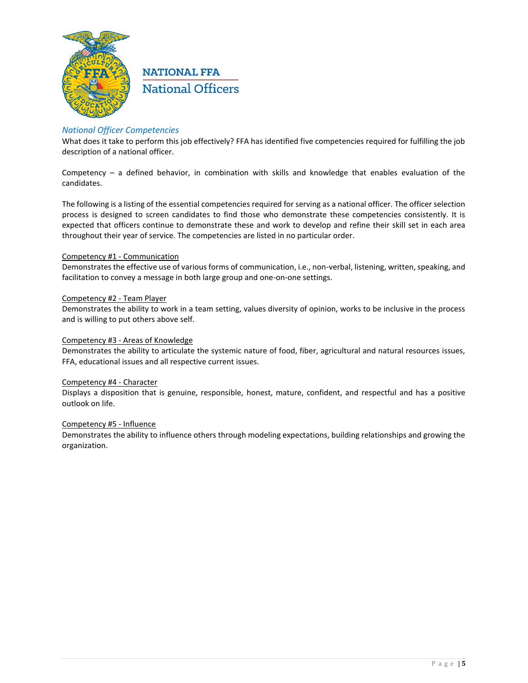

### *National Officer Competencies*

What does it take to perform this job effectively? FFA has identified five competencies required for fulfilling the job description of a national officer.

Competency – a defined behavior, in combination with skills and knowledge that enables evaluation of the candidates.

The following is a listing of the essential competencies required for serving as a national officer. The officer selection process is designed to screen candidates to find those who demonstrate these competencies consistently. It is expected that officers continue to demonstrate these and work to develop and refine their skill set in each area throughout their year of service. The competencies are listed in no particular order.

### Competency #1 - Communication

Demonstrates the effective use of various forms of communication, i.e., non-verbal, listening, written, speaking, and facilitation to convey a message in both large group and one-on-one settings.

### Competency #2 - Team Player

Demonstrates the ability to work in a team setting, values diversity of opinion, works to be inclusive in the process and is willing to put others above self.

### Competency #3 - Areas of Knowledge

Demonstrates the ability to articulate the systemic nature of food, fiber, agricultural and natural resources issues, FFA, educational issues and all respective current issues.

#### Competency #4 - Character

Displays a disposition that is genuine, responsible, honest, mature, confident, and respectful and has a positive outlook on life.

#### Competency #5 - Influence

Demonstrates the ability to influence others through modeling expectations, building relationships and growing the organization.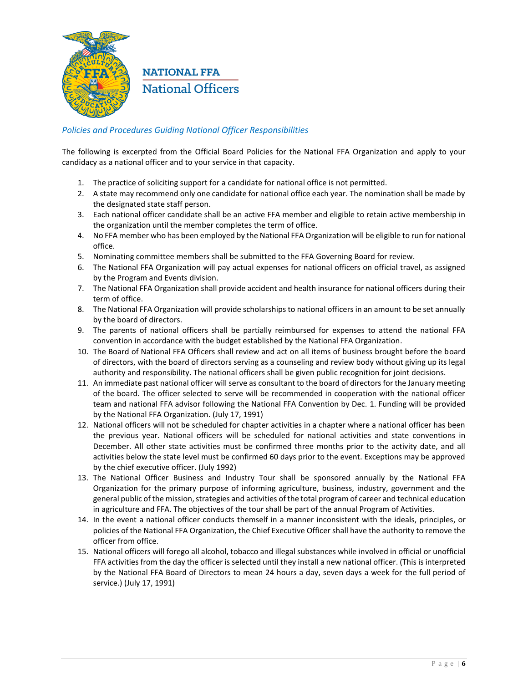

### *Policies and Procedures Guiding National Officer Responsibilities*

The following is excerpted from the Official Board Policies for the National FFA Organization and apply to your candidacy as a national officer and to your service in that capacity.

- 1. The practice of soliciting support for a candidate for national office is not permitted.
- 2. A state may recommend only one candidate for national office each year. The nomination shall be made by the designated state staff person.
- 3. Each national officer candidate shall be an active FFA member and eligible to retain active membership in the organization until the member completes the term of office.
- 4. No FFA member who has been employed by the National FFA Organization will be eligible to run for national office.
- 5. Nominating committee members shall be submitted to the FFA Governing Board for review.
- 6. The National FFA Organization will pay actual expenses for national officers on official travel, as assigned by the Program and Events division.
- 7. The National FFA Organization shall provide accident and health insurance for national officers during their term of office.
- 8. The National FFA Organization will provide scholarships to national officers in an amount to be set annually by the board of directors.
- 9. The parents of national officers shall be partially reimbursed for expenses to attend the national FFA convention in accordance with the budget established by the National FFA Organization.
- 10. The Board of National FFA Officers shall review and act on all items of business brought before the board of directors, with the board of directors serving as a counseling and review body without giving up its legal authority and responsibility. The national officers shall be given public recognition for joint decisions.
- 11. An immediate past national officer will serve as consultant to the board of directors for the January meeting of the board. The officer selected to serve will be recommended in cooperation with the national officer team and national FFA advisor following the National FFA Convention by Dec. 1. Funding will be provided by the National FFA Organization. (July 17, 1991)
- 12. National officers will not be scheduled for chapter activities in a chapter where a national officer has been the previous year. National officers will be scheduled for national activities and state conventions in December. All other state activities must be confirmed three months prior to the activity date, and all activities below the state level must be confirmed 60 days prior to the event. Exceptions may be approved by the chief executive officer. (July 1992)
- 13. The National Officer Business and Industry Tour shall be sponsored annually by the National FFA Organization for the primary purpose of informing agriculture, business, industry, government and the general public of the mission, strategies and activities of the total program of career and technical education in agriculture and FFA. The objectives of the tour shall be part of the annual Program of Activities.
- 14. In the event a national officer conducts themself in a manner inconsistent with the ideals, principles, or policies of the National FFA Organization, the Chief Executive Officer shall have the authority to remove the officer from office.
- 15. National officers will forego all alcohol, tobacco and illegal substances while involved in official or unofficial FFA activities from the day the officer is selected until they install a new national officer. (This is interpreted by the National FFA Board of Directors to mean 24 hours a day, seven days a week for the full period of service.) (July 17, 1991)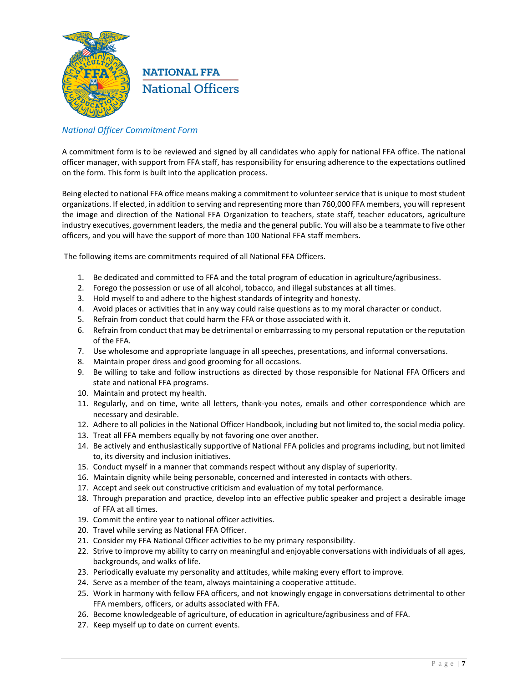

### *National Officer Commitment Form*

A commitment form is to be reviewed and signed by all candidates who apply for national FFA office. The national officer manager, with support from FFA staff, has responsibility for ensuring adherence to the expectations outlined on the form. This form is built into the application process.

Being elected to national FFA office means making a commitment to volunteer service that is unique to most student organizations. If elected, in addition to serving and representing more than 760,000 FFA members, you will represent the image and direction of the National FFA Organization to teachers, state staff, teacher educators, agriculture industry executives, government leaders, the media and the general public. You will also be a teammate to five other officers, and you will have the support of more than 100 National FFA staff members.

The following items are commitments required of all National FFA Officers.

- 1. Be dedicated and committed to FFA and the total program of education in agriculture/agribusiness.
- 2. Forego the possession or use of all alcohol, tobacco, and illegal substances at all times.
- 3. Hold myself to and adhere to the highest standards of integrity and honesty.
- 4. Avoid places or activities that in any way could raise questions as to my moral character or conduct.
- 5. Refrain from conduct that could harm the FFA or those associated with it.
- 6. Refrain from conduct that may be detrimental or embarrassing to my personal reputation or the reputation of the FFA.
- 7. Use wholesome and appropriate language in all speeches, presentations, and informal conversations.
- 8. Maintain proper dress and good grooming for all occasions.
- 9. Be willing to take and follow instructions as directed by those responsible for National FFA Officers and state and national FFA programs.
- 10. Maintain and protect my health.
- 11. Regularly, and on time, write all letters, thank-you notes, emails and other correspondence which are necessary and desirable.
- 12. Adhere to all policies in the National Officer Handbook, including but not limited to, the social media policy.
- 13. Treat all FFA members equally by not favoring one over another.
- 14. Be actively and enthusiastically supportive of National FFA policies and programs including, but not limited to, its diversity and inclusion initiatives.
- 15. Conduct myself in a manner that commands respect without any display of superiority.
- 16. Maintain dignity while being personable, concerned and interested in contacts with others.
- 17. Accept and seek out constructive criticism and evaluation of my total performance.
- 18. Through preparation and practice, develop into an effective public speaker and project a desirable image of FFA at all times.
- 19. Commit the entire year to national officer activities.
- 20. Travel while serving as National FFA Officer.
- 21. Consider my FFA National Officer activities to be my primary responsibility.
- 22. Strive to improve my ability to carry on meaningful and enjoyable conversations with individuals of all ages, backgrounds, and walks of life.
- 23. Periodically evaluate my personality and attitudes, while making every effort to improve.
- 24. Serve as a member of the team, always maintaining a cooperative attitude.
- 25. Work in harmony with fellow FFA officers, and not knowingly engage in conversations detrimental to other FFA members, officers, or adults associated with FFA.
- 26. Become knowledgeable of agriculture, of education in agriculture/agribusiness and of FFA.
- 27. Keep myself up to date on current events.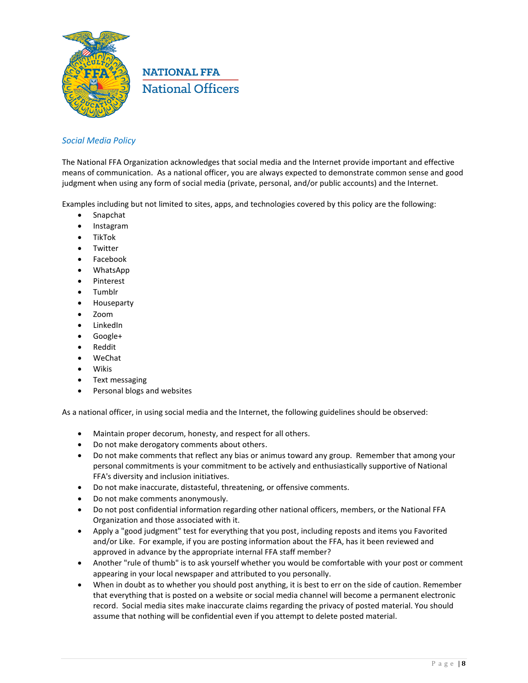

### *Social Media Policy*

The National FFA Organization acknowledges that social media and the Internet provide important and effective means of communication. As a national officer, you are always expected to demonstrate common sense and good judgment when using any form of social media (private, personal, and/or public accounts) and the Internet.

Examples including but not limited to sites, apps, and technologies covered by this policy are the following:

- Snapchat
- Instagram
- TikTok
- Twitter
- Facebook
- WhatsApp
- Pinterest
- Tumblr
- Houseparty
- Zoom
- LinkedIn
- Google+
- Reddit
- WeChat
- Wikis
- Text messaging
- Personal blogs and websites

As a national officer, in using social media and the Internet, the following guidelines should be observed:

- Maintain proper decorum, honesty, and respect for all others.
- Do not make derogatory comments about others.
- Do not make comments that reflect any bias or animus toward any group. Remember that among your personal commitments is your commitment to be actively and enthusiastically supportive of National FFA's diversity and inclusion initiatives.
- Do not make inaccurate, distasteful, threatening, or offensive comments.
- Do not make comments anonymously.
- Do not post confidential information regarding other national officers, members, or the National FFA Organization and those associated with it.
- Apply a "good judgment" test for everything that you post, including reposts and items you Favorited and/or Like. For example, if you are posting information about the FFA, has it been reviewed and approved in advance by the appropriate internal FFA staff member?
- Another "rule of thumb" is to ask yourself whether you would be comfortable with your post or comment appearing in your local newspaper and attributed to you personally.
- When in doubt as to whether you should post anything, it is best to err on the side of caution. Remember that everything that is posted on a website or social media channel will become a permanent electronic record. Social media sites make inaccurate claims regarding the privacy of posted material. You should assume that nothing will be confidential even if you attempt to delete posted material.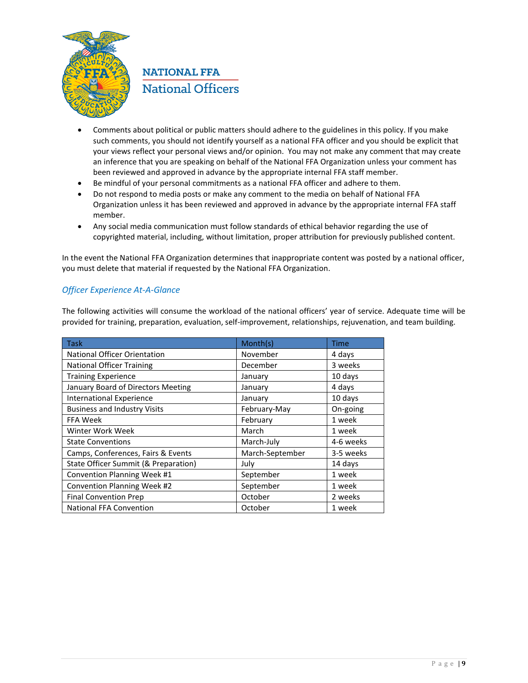

- Comments about political or public matters should adhere to the guidelines in this policy. If you make such comments, you should not identify yourself as a national FFA officer and you should be explicit that your views reflect your personal views and/or opinion. You may not make any comment that may create an inference that you are speaking on behalf of the National FFA Organization unless your comment has been reviewed and approved in advance by the appropriate internal FFA staff member.
- Be mindful of your personal commitments as a national FFA officer and adhere to them.
- Do not respond to media posts or make any comment to the media on behalf of National FFA Organization unless it has been reviewed and approved in advance by the appropriate internal FFA staff member.
- Any social media communication must follow standards of ethical behavior regarding the use of copyrighted material, including, without limitation, proper attribution for previously published content.

In the event the National FFA Organization determines that inappropriate content was posted by a national officer, you must delete that material if requested by the National FFA Organization.

## *Officer Experience At-A-Glance*

The following activities will consume the workload of the national officers' year of service. Adequate time will be provided for training, preparation, evaluation, self-improvement, relationships, rejuvenation, and team building.

| <b>Task</b>                          | Month(s)        | <b>Time</b> |
|--------------------------------------|-----------------|-------------|
| National Officer Orientation         | November        | 4 days      |
| <b>National Officer Training</b>     | December        | 3 weeks     |
| <b>Training Experience</b>           | January         | 10 days     |
| January Board of Directors Meeting   | January         | 4 days      |
| <b>International Experience</b>      | January         | 10 days     |
| <b>Business and Industry Visits</b>  | February-May    | On-going    |
| <b>FFA Week</b>                      | February        | 1 week      |
| Winter Work Week                     | March           | 1 week      |
| <b>State Conventions</b>             | March-July      | 4-6 weeks   |
| Camps, Conferences, Fairs & Events   | March-September | 3-5 weeks   |
| State Officer Summit (& Preparation) | July            | 14 days     |
| Convention Planning Week #1          | September       | 1 week      |
| Convention Planning Week #2          | September       | 1 week      |
| <b>Final Convention Prep</b>         | October         | 2 weeks     |
| <b>National FFA Convention</b>       | October         | 1 week      |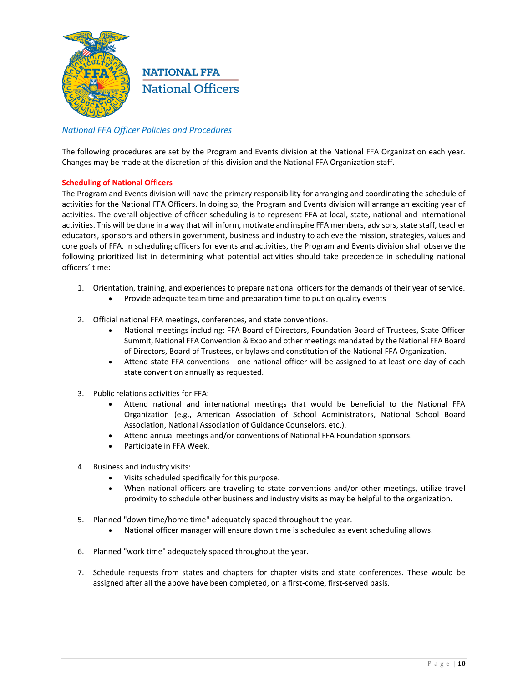

### *National FFA Officer Policies and Procedures*

The following procedures are set by the Program and Events division at the National FFA Organization each year. Changes may be made at the discretion of this division and the National FFA Organization staff.

### **Scheduling of National Officers**

The Program and Events division will have the primary responsibility for arranging and coordinating the schedule of activities for the National FFA Officers. In doing so, the Program and Events division will arrange an exciting year of activities. The overall objective of officer scheduling is to represent FFA at local, state, national and international activities. This will be done in a way that will inform, motivate and inspire FFA members, advisors, state staff, teacher educators, sponsors and others in government, business and industry to achieve the mission, strategies, values and core goals of FFA. In scheduling officers for events and activities, the Program and Events division shall observe the following prioritized list in determining what potential activities should take precedence in scheduling national officers' time:

- 1. Orientation, training, and experiences to prepare national officers for the demands of their year of service.
	- Provide adequate team time and preparation time to put on quality events
- 2. Official national FFA meetings, conferences, and state conventions.
	- National meetings including: FFA Board of Directors, Foundation Board of Trustees, State Officer Summit, National FFA Convention & Expo and other meetings mandated by the National FFA Board of Directors, Board of Trustees, or bylaws and constitution of the National FFA Organization.
	- Attend state FFA conventions—one national officer will be assigned to at least one day of each state convention annually as requested.
- 3. Public relations activities for FFA:
	- Attend national and international meetings that would be beneficial to the National FFA Organization (e.g., American Association of School Administrators, National School Board Association, National Association of Guidance Counselors, etc.).
	- Attend annual meetings and/or conventions of National FFA Foundation sponsors.
	- Participate in FFA Week.
- 4. Business and industry visits:
	- Visits scheduled specifically for this purpose.
	- When national officers are traveling to state conventions and/or other meetings, utilize travel proximity to schedule other business and industry visits as may be helpful to the organization.
- 5. Planned "down time/home time" adequately spaced throughout the year.
	- National officer manager will ensure down time is scheduled as event scheduling allows.
- 6. Planned "work time" adequately spaced throughout the year.
- 7. Schedule requests from states and chapters for chapter visits and state conferences. These would be assigned after all the above have been completed, on a first-come, first-served basis.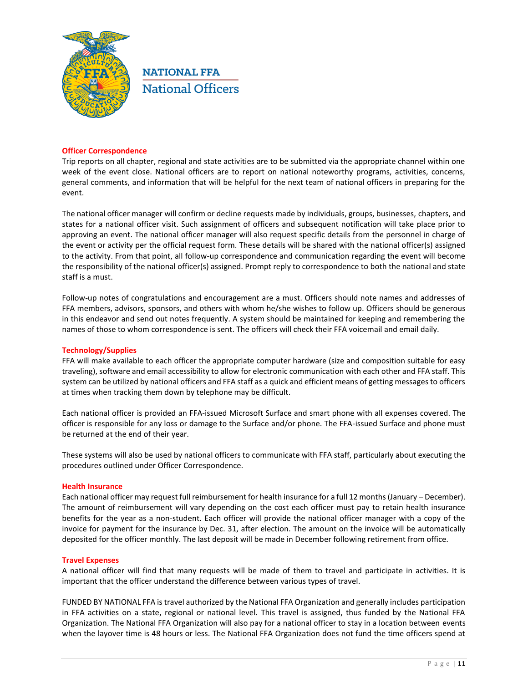

### **Officer Correspondence**

Trip reports on all chapter, regional and state activities are to be submitted via the appropriate channel within one week of the event close. National officers are to report on national noteworthy programs, activities, concerns, general comments, and information that will be helpful for the next team of national officers in preparing for the event.

The national officer manager will confirm or decline requests made by individuals, groups, businesses, chapters, and states for a national officer visit. Such assignment of officers and subsequent notification will take place prior to approving an event. The national officer manager will also request specific details from the personnel in charge of the event or activity per the official request form. These details will be shared with the national officer(s) assigned to the activity. From that point, all follow-up correspondence and communication regarding the event will become the responsibility of the national officer(s) assigned. Prompt reply to correspondence to both the national and state staff is a must.

Follow-up notes of congratulations and encouragement are a must. Officers should note names and addresses of FFA members, advisors, sponsors, and others with whom he/she wishes to follow up. Officers should be generous in this endeavor and send out notes frequently. A system should be maintained for keeping and remembering the names of those to whom correspondence is sent. The officers will check their FFA voicemail and email daily.

#### **Technology/Supplies**

FFA will make available to each officer the appropriate computer hardware (size and composition suitable for easy traveling), software and email accessibility to allow for electronic communication with each other and FFA staff. This system can be utilized by national officers and FFA staff as a quick and efficient means of getting messages to officers at times when tracking them down by telephone may be difficult.

Each national officer is provided an FFA-issued Microsoft Surface and smart phone with all expenses covered. The officer is responsible for any loss or damage to the Surface and/or phone. The FFA-issued Surface and phone must be returned at the end of their year.

These systems will also be used by national officers to communicate with FFA staff, particularly about executing the procedures outlined under Officer Correspondence.

#### **Health Insurance**

Each national officer may request full reimbursement for health insurance for a full 12 months (January – December). The amount of reimbursement will vary depending on the cost each officer must pay to retain health insurance benefits for the year as a non-student. Each officer will provide the national officer manager with a copy of the invoice for payment for the insurance by Dec. 31, after election. The amount on the invoice will be automatically deposited for the officer monthly. The last deposit will be made in December following retirement from office.

#### **Travel Expenses**

A national officer will find that many requests will be made of them to travel and participate in activities. It is important that the officer understand the difference between various types of travel.

FUNDED BY NATIONAL FFA is travel authorized by the National FFA Organization and generally includes participation in FFA activities on a state, regional or national level. This travel is assigned, thus funded by the National FFA Organization. The National FFA Organization will also pay for a national officer to stay in a location between events when the layover time is 48 hours or less. The National FFA Organization does not fund the time officers spend at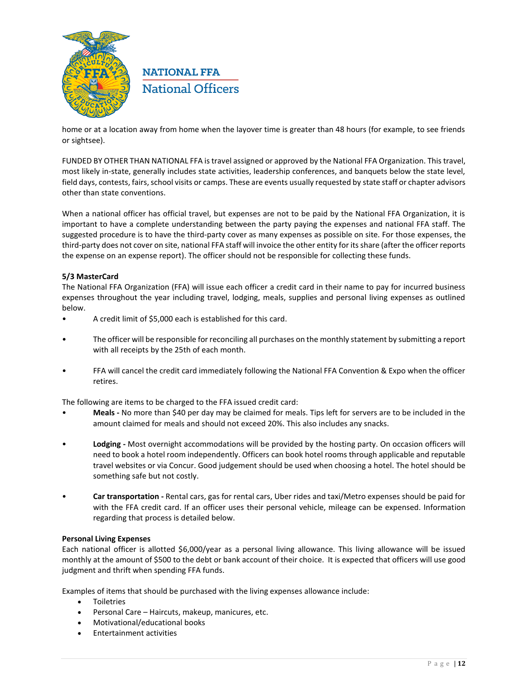

home or at a location away from home when the layover time is greater than 48 hours (for example, to see friends or sightsee).

FUNDED BY OTHER THAN NATIONAL FFA is travel assigned or approved by the National FFA Organization. This travel, most likely in-state, generally includes state activities, leadership conferences, and banquets below the state level, field days, contests, fairs, school visits or camps. These are events usually requested by state staff or chapter advisors other than state conventions.

When a national officer has official travel, but expenses are not to be paid by the National FFA Organization, it is important to have a complete understanding between the party paying the expenses and national FFA staff. The suggested procedure is to have the third-party cover as many expenses as possible on site. For those expenses, the third-party does not cover on site, national FFA staff will invoice the other entity for its share (after the officer reports the expense on an expense report). The officer should not be responsible for collecting these funds.

### **5/3 MasterCard**

The National FFA Organization (FFA) will issue each officer a credit card in their name to pay for incurred business expenses throughout the year including travel, lodging, meals, supplies and personal living expenses as outlined below.

- A credit limit of \$5,000 each is established for this card.
- The officer will be responsible for reconciling all purchases on the monthly statement by submitting a report with all receipts by the 25th of each month.
- FFA will cancel the credit card immediately following the National FFA Convention & Expo when the officer retires.

The following are items to be charged to the FFA issued credit card:

- **Meals -** No more than \$40 per day may be claimed for meals. Tips left for servers are to be included in the amount claimed for meals and should not exceed 20%. This also includes any snacks.
- **Lodging -** Most overnight accommodations will be provided by the hosting party. On occasion officers will need to book a hotel room independently. Officers can book hotel rooms through applicable and reputable travel websites or via Concur. Good judgement should be used when choosing a hotel. The hotel should be something safe but not costly.
- **Car transportation -** Rental cars, gas for rental cars, Uber rides and taxi/Metro expenses should be paid for with the FFA credit card. If an officer uses their personal vehicle, mileage can be expensed. Information regarding that process is detailed below.

### **Personal Living Expenses**

Each national officer is allotted \$6,000/year as a personal living allowance. This living allowance will be issued monthly at the amount of \$500 to the debt or bank account of their choice. It is expected that officers will use good judgment and thrift when spending FFA funds.

Examples of items that should be purchased with the living expenses allowance include:

- Toiletries
- Personal Care Haircuts, makeup, manicures, etc.
- Motivational/educational books
- Entertainment activities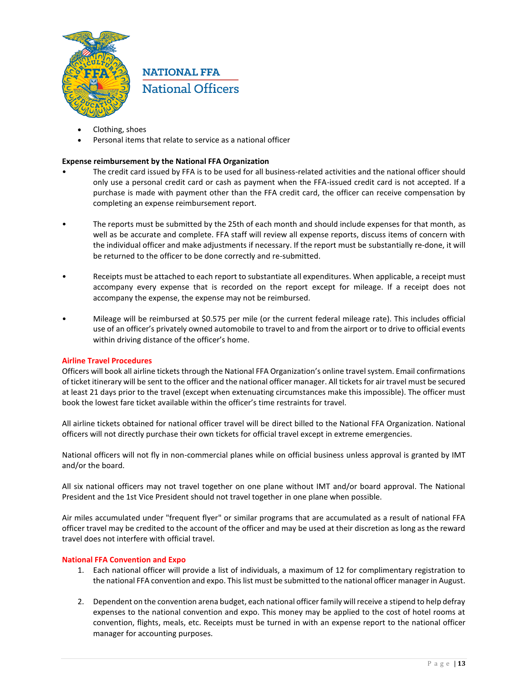

- Clothing, shoes
- Personal items that relate to service as a national officer

### **Expense reimbursement by the National FFA Organization**

- The credit card issued by FFA is to be used for all business-related activities and the national officer should only use a personal credit card or cash as payment when the FFA-issued credit card is not accepted. If a purchase is made with payment other than the FFA credit card, the officer can receive compensation by completing an expense reimbursement report.
- The reports must be submitted by the 25th of each month and should include expenses for that month, as well as be accurate and complete. FFA staff will review all expense reports, discuss items of concern with the individual officer and make adjustments if necessary. If the report must be substantially re-done, it will be returned to the officer to be done correctly and re-submitted.
- Receipts must be attached to each report to substantiate all expenditures. When applicable, a receipt must accompany every expense that is recorded on the report except for mileage. If a receipt does not accompany the expense, the expense may not be reimbursed.
- Mileage will be reimbursed at \$0.575 per mile (or the current federal mileage rate). This includes official use of an officer's privately owned automobile to travel to and from the airport or to drive to official events within driving distance of the officer's home.

### **Airline Travel Procedures**

Officers will book all airline tickets through the National FFA Organization's online travel system. Email confirmations of ticket itinerary will be sent to the officer and the national officer manager. All tickets for air travel must be secured at least 21 days prior to the travel (except when extenuating circumstances make this impossible). The officer must book the lowest fare ticket available within the officer's time restraints for travel.

All airline tickets obtained for national officer travel will be direct billed to the National FFA Organization. National officers will not directly purchase their own tickets for official travel except in extreme emergencies.

National officers will not fly in non-commercial planes while on official business unless approval is granted by IMT and/or the board.

All six national officers may not travel together on one plane without IMT and/or board approval. The National President and the 1st Vice President should not travel together in one plane when possible.

Air miles accumulated under "frequent flyer" or similar programs that are accumulated as a result of national FFA officer travel may be credited to the account of the officer and may be used at their discretion as long as the reward travel does not interfere with official travel.

### **National FFA Convention and Expo**

- 1. Each national officer will provide a list of individuals, a maximum of 12 for complimentary registration to the national FFA convention and expo. This list must be submitted to the national officer manager in August.
- 2. Dependent on the convention arena budget, each national officer family will receive a stipend to help defray expenses to the national convention and expo. This money may be applied to the cost of hotel rooms at convention, flights, meals, etc. Receipts must be turned in with an expense report to the national officer manager for accounting purposes.